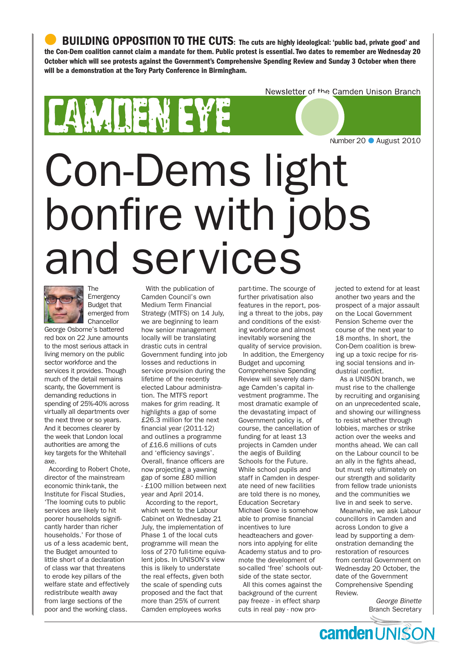BUILDING OPPOSITION TO THE CUTS: The cuts are highly ideological: 'public bad, private good' and the Con-Dem coalition cannot claim a mandate for them. Public protest is essential. Two dates to remember are Wednesday 20 October which will see protests against the Government's Comprehensive Spending Review and Sunday 3 October when there will be a demonstration at the Tory Party Conference in Birmingham.

Newsletter of the Camden Unison Branch

# AN DEN EY Number 20 ● August 2010Con-Dems light bonfire with jobs and services



The Emergency Budget that emerged from **Chancellor** 

George Osborne's battered red box on 22 June amounts to the most serious attack in living memory on the public sector workforce and the services it provides. Though much of the detail remains scanty, the Government is demanding reductions in spending of 25%-40% across virtually all departments over the next three or so years. And it becomes clearer by the week that London local authorities are among the key targets for the Whitehall axe.

According to Robert Chote, director of the mainstream economic think-tank, the Institute for Fiscal Studies, 'The looming cuts to public services are likely to hit poorer households significantly harder than richer households.' For those of us of a less academic bent, the Budget amounted to little short of a declaration of class war that threatens to erode key pillars of the welfare state and effectively redistribute wealth away from large sections of the poor and the working class.

With the publication of Camden Council's own Medium Term Financial Strategy (MTFS) on 14 July, we are beginning to learn how senior management locally will be translating drastic cuts in central Government funding into job losses and reductions in service provision during the lifetime of the recently elected Labour administration. The MTFS report makes for grim reading. It highlights a gap of some £26.3 million for the next financial year (2011-12) and outlines a programme of £16.6 millions of cuts and 'efficiency savings'. Overall, finance officers are now projecting a yawning gap of some £80 million - £100 million between next year and April 2014.

According to the report, which went to the Labour Cabinet on Wednesday 21 July, the implementation of Phase 1 of the local cuts programme will mean the loss of 270 full-time equivalent jobs. In UNISON's view this is likely to understate the real effects, given both the scale of spending cuts proposed and the fact that more than 25% of current Camden employees works

part-time. The scourge of further privatisation also features in the report, posing a threat to the jobs, pay and conditions of the existing workforce and almost inevitably worsening the quality of service provision.

In addition, the Emergency Budget and upcoming Comprehensive Spending Review will severely damage Camden's capital investment programme. The most dramatic example of the devastating impact of Government policy is, of course, the cancellation of funding for at least 13 projects in Camden under the aegis of Building Schools for the Future. While school pupils and staff in Camden in desperate need of new facilities are told there is no money, Education Secretary Michael Gove is somehow able to promise financial incentives to lure headteachers and governors into applying for elite Academy status and to promote the development of so-called 'free' schools outside of the state sector.

All this comes against the background of the current pay freeze - in effect sharp cuts in real pay - now projected to extend for at least another two years and the prospect of a major assault on the Local Government Pension Scheme over the course of the next year to 18 months. In short, the Con-Dem coalition is brewing up a toxic recipe for rising social tensions and industrial conflict.

As a UNISON branch, we must rise to the challenge by recruiting and organising on an unprecedented scale, and showing our willingness to resist whether through lobbies, marches or strike action over the weeks and months ahead. We can call on the Labour council to be an ally in the fights ahead, but must rely ultimately on our strength and solidarity from fellow trade unionists and the communities we live in and seek to serve.

Meanwhile, we ask Labour councillors in Camden and across London to give a lead by supporting a demonstration demanding the restoration of resources from central Government on Wednesday 20 October, the date of the Government Comprehensive Spending Review.

> *George Binette* Branch Secretary

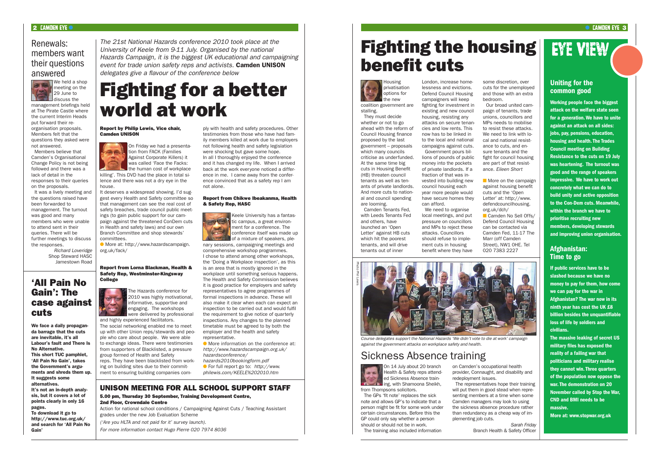On 14 July about 20 branch Health & Safety reps attended Sickness Absence training, with Shamoona Sheikh, from Thompsons solicitors.

The GPs 'fit note' replaces the sick note and allows GP's to indicate that a person might be fit for some work under certain circumstances. Before this the GP could only say whether a person should or should not be in work. The training also included information

on Camden's occupational health provider, Connaught, and disability and redeployment issues. The representatives hope their training will put them in good stead when representing members at a time when some Camden managers may look to using the sickness absence procedure rather than redundancy as a cheap way of implementing job cuts.

> *Sarah Friday* Branch Health & Safety Officer

# Eye View

## Uniting for the common good

Working people face the biggest attack on the welfare state seen for a generation. We have to unite against an attack on all sides: jobs, pay, pensions, education, housing and health. The Trades Council meeting on Building Resistance to the cuts on 19 July was heartening. The turnout was good and the range of speakers impressive. We have to work out concretely what we can do to build unity and active opposition to the Con-Dem cuts. Meanwhile, within the branch we have to prioritise recruiting new members, developing stewards and improving union organisation.

## Afghanistan: Time to go

If public services have to be slashed because we have no money to pay for them, how come we can pay for the war in Afghanistan? The war now in its ninth year has cost the UK £8 billion besides the unquantifiable loss of life by soldiers and civilians.

It deserves a widespread showing. I'd suggest every Health and Safety committee so that management can see the real cost of safety breaches, trade council public meetings (to gain public support for our campaign against the threatened ConDem cuts in Health and safety laws) and our own Branch Committee and shop stewards' committees.

**I**More at: http://www.hazardscampaign. org.uk/fack/

> The massive leaking of secret US military files has exposed the reality of a failing war that politicians and military realise they cannot win. Three quarters of the population now oppose the war. The demonstration on 20 November called by Stop the War, CND and BMI needs to be massive.

More at: www.stopwar.org.uk

management briefings held at The Pirate Castle where the current Interim Heads put forward their reorganisation proposals. Members felt that the questions they asked were not answered.

Members believe that Camden's Organisational Change Policy is not being followed and there was a lack of detail in the responses to their queries on the proposals.

It was a lively meeting and the questions raised have been forwarded to management. The turnout was good and many members who were unable to attend sent in their queries. There will be further meetings to discuss the responses.

*Richard Loveridge*  Shop Steward HASC Jamestown Road

> **In More information on the conference at:** *http://www.hazardscampaign.org.uk/ hazardsconference/*

### $2$  camden eye  $\bullet$  camden eye  $\bullet$  camden eye  $\bullet$  canded the case of  $\bullet$  camden eye  $\bullet$  camden eye  $\bullet$

## Renewals: members want their questions answered



We held a shop meeting on the 29 June to discuss the

### Report by Philip Lewis, Vice chair, Camden UNISON



On Friday we had a presentation from FACK (Families Against Corporate Killers) it was called 'Face the Facks: the human cost of workplace

killing'. This DVD had the place in total silence and there was not a dry eye in the house.

Report from Lorna Blackman, Health & Safety Rep, Westminster-Kingsway College



The Hazards conference for 2010 was highly motivational, informative, supportive and engaging. The workshops were delivered by professional

We need to organise local meetings, and put pressure on councillors and MPs to reject these attacks. Councillors should refuse to implement cuts in housing benefit where they have

and highly experienced facilitators. The social networking enabled me to meet up with other Union reps/stewards and people who care about people. We were able to exchange ideas. There were testimonies from supporters of Blacklisted, a pressure group formed of Health and Safety reps. They have been blacklisted from working on building sites due to their commit-

ment to ensuring building companies com-

ply with health and safety procedures. Other testimonies from those who have had family members killed at work due to employers not following health and safety legislation were shocking but gave some hope. In all I thoroughly enjoyed the conference and it has changed my life. When I arrived back at the work everyone noticed a difference in me. I came away from the conference convinced that as a safety rep I am not alone.

### Report from Chikwe Ibeakanma, Health & Safety Rep, HASC



Keele University has a fantastic campus, a great environment for a conference. The conference itself was made up of a mixture of speakers, ple-

nary sessions, campaigning meetings and comprehensive workshop programmes. I chose to attend among other workshops, the 'Doing a Workplace inspection', as this is an area that is mostly ignored in the workplace until something serious happens. The Health and Safety Commission believes it is good practice for employers and safety representatives to agree programmes of formal inspections in advance. These will also make it clear when each can expect an inspection to be carried out and would fulfil the requirement to give notice of quarterly inspections. Any changes to the planned timetable must be agreed to by both the employer and the health and safety representative.

*hazards2010bookingform.pdf*  l For full report go to: *http://www. philewis.com/KEELE%202010.htm*

*The 21st National Hazards conference 2010 took place at the University of Keele from 9-11 July. Organised by the national Hazards Campaign, it is the biggest UK educational and campaigning event for trade union safety reps and activists.* Camden UNISON *delegates give a flavour of the conference below*

# Fighting for a better world at work

### Housing privatisation options for the new

coalition government are stalling.

They must decide whether or not to go ahead with the reform of Council Housing finance proposed by the last government – proposals which many councils criticise as underfunded. At the same time big cuts in Housing Benefit (HB) threaten council tenants as well as tenants of private landlords. And more cuts to national and council spending

are looming. Camden Tenants Fed, with Leeds Tenants Fed and others, have launched an 'Open Letter' against HB cuts which hit the poorest tenants, and will drive

tenants out of inner

London, increase homelessness and evictions. Defend Council Housing campaigners will keep fighting for investment in existing and new council housing, resisting any attacks on secure tenancies and low rents. This now has to be linked in to the local and national campaigns against cuts. Government pours bil-

lions of pounds of public money into the pockets of private landlords. If a fraction of that was invested into building new council housing each year more people would have secure homes they can afford.

some discretion, over cuts for the unemployed and those with an extra bedroom.

Our broad united campaign of tenants, trade unions, councillors and MPs needs to mobilise to resist these attacks. We need to link with  $\ln$ cal and national resistance to cuts, and ensure tenants and the fight for council housing are part of that resist-

ance. *Eileen Short*  $\blacksquare$  More on the campaign against housing benefit cuts and the 'Open Letter' at: http://www. defendcouncilhousing. org.uk/dch/ **Camden No Sell Offs/** Defend Council Housing can be contacted via Camden Fed, 11-17 The Marr (off Camden Street), NW1 0HE. Tel 020 7383 2227

# Fighting the housing benefit cuts

## Sickness Absence training



## 'All Pain No Gain': The case against cuts

We face a daily propaganda barrage that the cuts are inevitable, it's all Labour's fault and There Is No Alternative. This short TUC pamphlet, 'All Pain No Gain', takes the Government's arguments and shreds them up. It suggests some alternatives. It's not an in-depth analy-

sis, but it covers a lot of points clearly in only 16 pages. To download it go to

http://www.tuc.org.uk/ and search for 'All Pain No Gain'

## UNISON MEETING FOR ALL SCHOOL SUPPORT STAFF 5.00 pm, Thursday 30 September, Training Development Centre,

## 2nd Floor, Crowndale Centre

Action for national school conditions / Campaigning Against Cuts / Teaching Assistant grades under the new Job Evaluation Scheme

*('Are you HLTA and not paid for it' survey launch).* 

*For more information contact Hugo Pierre 020 7974 8036*



*Course delegates support the National Hazards 'We didn't vote to die at work' campaign against the government attacks on workplace safety and health.*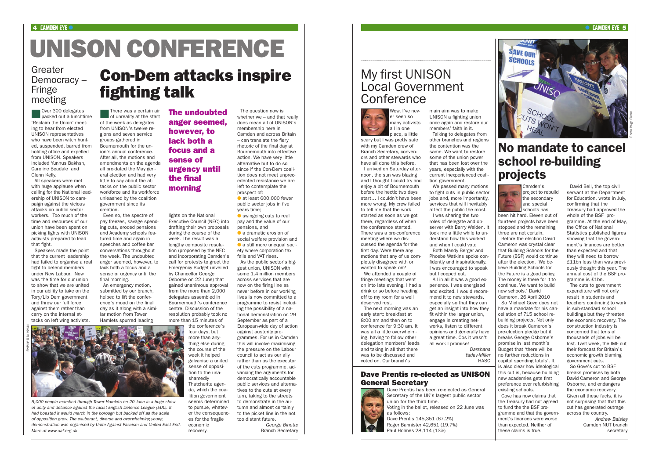There was a certain air of unreality at the start of the week as delegates from UNISON's twelve regions and seven service groups gathered in Bournemouth for the union's annual conference. After all, the motions and amendments on the agenda all pre-dated the May general election and had very little to say about the attacks on the public sector workforce and its workforce unleashed by the coalition government since its creation.

Even so, the spectre of pay freezes, savage spending cuts, eroded pensions and Academy schools featured time and again in speeches and coffee bar conversations throughout the week. The undoubted anger seemed, however, to lack both a focus and a sense of urgency until the final morning.

An emergency motion, submitted by our branch. helped to lift the conference's mood on the final day as it along with a similar motion from Tower Hamlets spurred leading

The question now is whether we – and that really does mean all of UNISON's membership here in Camden and across Britain – can translate the fiery rhetoric of the final day at Bournemouth into effective action. We have very little alternative but to do so since if the Con-Dem coalition does not meet unprecedented resistance we are left to contemplate the prospect of:  $\bullet$  at least 600,000 fewer

public sector jobs in five years time;  $\bullet$  swingeing cuts to real pay and the value of our

lights on the National Executive Council (NEC) into drafting their own proposals during the course of the week. The result was a lengthy composite resolution (proposed by the NEC and incorporating Camden's call for protests to greet the Emergency Budget unveiled by Chancellor George Osborne on 22 June) that gained unanimous approval from the more than 2,000 delegates assembled in Bournemouth's conference centre. Discussion of the resolution probably took no more than 15 minutes of

> the conference's four days, but more than anything else during the course of the week it helped galvanise a united sense of opposition to the unashamedly Thatcherite agenda, which the coalition government seems determined to pursue, whatever the consequences for the fragile economic recovery.

**nover 300 delegates**<br>**packed out a lunchtime** 'Reclaim the Union' meeting to hear from elected UNISON representatives who have been witch hunted, suspended, barred from holding office and expelled from UNISON. Speakers included Yunnus Bakhsh, Caroline Beadale and Glenn Kelly.

> pensions, and **a** dramatic erosion of social welfare provision and  $\bullet$  a still more unequal society where corporation tax falls and VAT rises. As the public sector's biggest union, UNISON with some 1.4 million members across services that are now on the firing line as never before in our working lives is now committed to a programme to resist including the possibility of a national demonstration on 29 September as part of a European-wide day of action against austerity programmes. For us in Camden this will involve maximising the pressure on the Labour council to act as our ally rather than as the executor of the cuts programme, advancing the arguments for democratically accountable public services and alternatives to the cuts at every turn, taking to the streets to demonstrate in the autumn and almost certainly to the picket line in the not

We passed many motions to fight cuts in public sector iobs and, more importantly services that will inevitably affect the public the most.

too distant future.

*George Binette* Branch Secretary

### 4 CAMDEN EYE  $\bullet$  cannot be considered by the construction of the construction of the construction of the construction of the construction of the construction of the construction of the construction of the construction of

# UNISON CONFERENCE

The undoubted anger seemed, however, to lack both a focus and a sense of urgency until the final morning

## Greater Democracy – Fringe meeting

*Darshana Yadav-Miller* **HASC** 

## My first UNISON Local Government **Conference**

All speakers were met with huge applause when calling for the National leadership of UNISON to campaign against the vicious attacks on public sector workers. Too much of the time and resources of our union have been spent on picking fights with UNISON activists prepared to lead that fight.

Speakers made the point that the current leadership had failed to organise a real fight to defend members under New Labour. Now was the time for our union to show that we are united in our ability to take on the Tory/Lib Dem government and throw our full force against them rather than carry on the internal attacks on left wing activists.

## Con-Dem attacks inspire fighting talk

*5,000 people marched through Tower Hamlets on 20 June in a huge show of unity and defiance against the racist English Defence League (EDL). It had boasted it would march in the borough but backed off as the scale of opposition grew. The exuberant, diverse and overwhelming young demonstration was organised by Unite Against Fascism and United East End. More at www.uaf.org.uk* 



place, a little scary but I was pretty safe with my Camden crew of Branch Secretary, convenors and other stewards who have all done this before.

I arrived on Saturday afternoon, the sun was blazing and I thought I could try and enjoy a bit of Bournemouth before the hectic two days start… I couldn't have been more wrong. My crew failed to tell me that the work started as soon as we got there, regardless of when the conference started. There was a pre-conference meeting where we discussed the agenda for the first day. Were there any motions that any of us completely disagreed with or wanted to speak on? We attended a couple of fringe meetings that went on into late evening. I had a drink or so before heading

off to my room for a well

deserved rest. The next morning was an early start: breakfast at 8:00 am and then on to conference for 9:30 am. It was all a little overwhelming, having to follow other delegation members' leads and taking in all that there was to be discussed and voted on. Our branch's

main aim was to make members' faith in it.

UNISON a fighting union once again and restore our Talking to delegates from

other branches and regions the contention was the same. We want to restore some of the union power that has been lost over the years, especially with the current inexperienced coalition government.

I was sharing the two roles of delegate and observer with Barry Walden. It took me a little while to understand how this worked and when I could vote

Both Mandy Berger and Phoebe Watkins spoke confidently and inspirationally. I was encouraged to speak but I copped out.

All in all it was a good experience. I was energised and excited. I would recommend it to new stewards, especially so that they can get an insight into how they fit within the larger union, engage in creating networks, listen to different opinions and generally have a great time. Cos it wasn't all work I promise!

Camden's project to rebuild the secondary and special schools has

been hit hard. Eleven out of fourteen projects have been stopped and the remaining three are not certain.

Before the election David Cameron was crystal clear that Building Schools for the Future (BSF) would continue after the election. 'We believe Building Schools for the Future is a good policy. The money is there for it to continue. We want to build new schools.' David Cameron, 26 April 2010

So Michael Gove does not have a mandate for his cancellation of 715 school rebuilding projects. Not only does it break Cameron's pre-election pledge but it breaks George Osborne's promise in last month's Budget that 'there will be no further reductions in capital spending totals'. It is also clear how ideological this cut is, because building new academies gets first preference over refurbishing existing schools.

Gove has now claims that the Treasury had not agreed to fund the the BSF programme and that the government's finances were worse than expected. Neither of these claims is true.

David Bell, the top civil servant at the Department for Education, wrote in July, confirming that the Treasury had approved the whole of the BSF programme. At the end of May, the Office of National Statistics published figures showing that the government's finances are better than expected and that they will need to borrow £11bn less than was previously thought this year. The annual cost of the BSF programme is £1bn.

The cuts to government expenditure will not only result in students and teachers continuing to work in sub-standard school buildings but they threaten the economic recovery. The construction industry is concerned that tens of thousands of jobs will be lost. Last week, the IMF cut their forecast for Britain's economic growth blaming government cuts.

So Gove's cut to BSF breaks promises by both David Cameron and George Osborne, and endangers the economic recovery. Given all these facts, it is not surprising that that this cut has generated outrage across the country.

*Andrew Baisley* Camden NUT branch secretary

## No mandate to cancel school re-building projects



## Dave Prentis re-elected as UNISON General Secretary

Dave Prentis has been re-elected as General Secretary of the UK's largest public sector union for the third time. Voting in the ballot, released on 22 June was

as follows:

Dave Prentis 145,351 (67.2%) Roger Bannister 42,651 (19.7%) Paul Holmes 28,114 (13%)



Photo Hugo Pierre

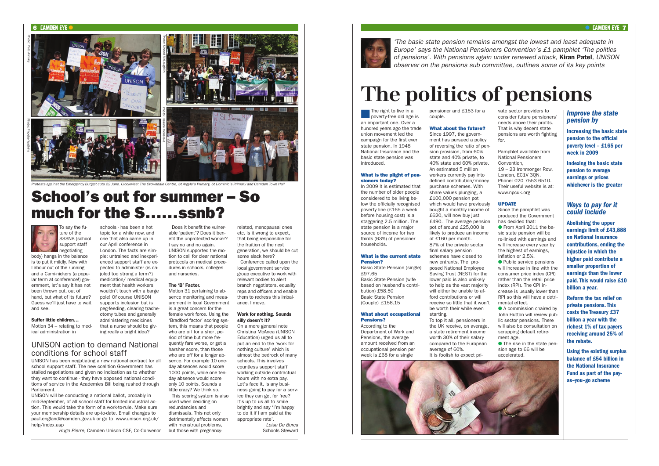To say the future of the SSSNB (school support staff negotiating body) hangs in the balance

is to put it mildly. Now with Labour out of the running and a Cami-nickers (a popular term at conference!) government, let's say it has not been thrown out, out of hand, but what of its future? Guess we'll just have to wait and see.

Suffer little children… Motion 34 – relating to medical administration in

schools - has been a hot topic for a while now, and one that also came up in our April conference in London. The facts are simple: untrained and inexperienced support staff are expected to administer (is cajoled too strong a term?) medication/ medical equipment that health workers wouldn't touch with a barge pole! Of course UNISON supports inclusion but is peg-feeding, clearing tracheotomy tubes and generally administering medicines that a nurse should be giving really a bright idea?

Does it benefit the vulnerable 'patient'? Does it benefit the unprotected worker? I say no and no again. UNISON supported the motion to call for clear national protocols on medical procedures in schools, colleges and nurseries.

### The 'B' Factor.

Motion 31 pertaining to absence monitoring and measurement in local Government is a great concern for the female work force. Using the 'Bradford factor' scoring system, this means that people who are off for a short period of time but more frequently fare worse, or get a harsher score, than those who are off for a longer absence. For example 10 oneday absences would score 1000 points, while one tenday absence would score only 10 points. Sounds a little crazy? We think so. This scoring system is also used when deciding on redundancies and dismissals. This not only detrimentally affects women with menstrual problems. but those with pregnancy-

related, menopausal ones etc. Is it wrong to expect, that being responsible for the fruition of the next generation, we should be cut some slack here?

The right to live in a<br>poverty-free old age is an important one. Over a hundred years ago the trade union movement led the campaign for the first ever state pension. In 1948 National Insurance and the basic state pension was introduced.

Conference called upon the

local government service group executive to work with

relevant bodies to alert branch negotiators, equality

## reps and officers and enable them to redress this imbalance. I move.

### Work for nothing. Sounds silly doesn't it?

On a more general note Christina McAnea (UNISON Education) urged us all to put an end to the 'work for nothing culture' which is almost the bedrock of many schools. This involves countless support staff working outside contractual hours with no extra pay. Let's face it, is any business going to pay for a service they can get for free? It's up to us all to smile brightly and say 'I'm happy to do it if I am paid at the appropriate rate'. *Leisa De Burca*

Schools Steward

## **CAMDEN EYE 7**

UNISON has been negotiating a new national contract for all school support staff. The new coalition Government has stalled negotiations and given no indication as to whether they want to continue - they have opposed national conditions of service in the Academies Bill being rushed through Parliament.

**C** From April 2011 the basic state pension will be re-linked with earnings and will increase every year by the highest of earnings, inflation or 2.5%.

UNISON will be conducting a national ballot, probably in mid-September, of all school staff for limited industrial action. This would take the form of a work-to-rule. Make sure your membership details are up-to-date. Email changes to paul.england@camden.gov.uk or go to www.unison.org.uk/ help/index.asp

● Public service pensions will increase in line with the consumer price index (CPI) rather than the retail price index (RPI). The CPI increase is usually lower than RPI so this will have a detrimental effect.

● A commission chaired by John Hutton will review public sector pensions. There will also be consultation on scrapping default retirement age.

 $\bullet$  The rise in the state pension age to 66 will be accelerated.

*Hugo Pierre,* Camden Unison CSF, Co-Convenor

## UNISON action to demand National conditions for school staff

## School's out for summer – So much for the S……ssnb?

*Protests against the Emergency Budget cuts 22 June. Clockwise: The Crowndale Centre, St Argyle's Primary, St Dominic's Primary and Camden Town Hall*

### **6 CAMDEN EYE**



What is the plight of pen-

sioners today?

In 2009 it is estimated that the number of older people considered to be living below the officially recognised poverty line (£165 a week before housing cost) is a staggering 2.5 million. The state pension is a major source of income for two thirds (63%) of pensioner

households.

What is the current state

Pension?

Basic State Pension (single)

£97.65

Basic State Pension (wife based on husband's contri-

bution) £58.50 Basic State Pension (Couple) £156.15

What about occupational

Pensions? According to the

Department of Work and Pensions, the average amount received from an occupational pension per week is £68 for a single

pensioner and £153 for a couple.

### What about the future?

Since 1997, the government has pursued a policy of reversing the ratio of pension provision, from 60% state and 40% private, to 40% state and 60% private. An estimated 5 million workers currently pay into defined contribution/money purchase schemes. With share values plunging, a £100,000 pension pot which would have previously bought a monthly income of £620, will now buy just £490. The average pension pot of around £25,000 is likely to produce an income of £160 per month. 87% of the private sector final salary pension schemes have closed to new entrants. The proposed National Employee Saving Trust (NEST) for the lower paid is also unlikely to help as the vast majority will either be unable to afford contributions or will receive so little that it won't be worth their while even starting.

To top it all, pensioners in the UK receive, on average, a state retirement income worth 30% of their salary compared to the European average of 60%. It is foolish to expect pri-



vate sector providers to consider future pensioners' needs above their profits. That is why decent state pensions are worth fighting for.

- Pamphlet available from National Pensioners Convention,
- 19 23 Ironmonger Row, London, EC1V 3QN. Phone: 020 7553 6510. Their useful website is at: www.npcuk.org

### UPDATE

Since the pamphlet was produced the Government has decided that:

*'The basic state pension remains amongst the lowest and least adequate in Europe' says the National Pensioners Convention's £1 pamphlet 'The politics of pensions'. With pensions again under renewed attack,* Kiran Patel*, UNISON observer on the pensions sub committee, outlines some of its key points*

# **The politics of pensions**

## *Improve the state pension by*

Increasing the basic state pension to the official poverty level – £165 per week in 2009

Indexing the basic state pension to average earnings or prices whichever is the greater

## *Ways to pay for it could include*

Abolishing the upper earnings limit of £43,888 on National Insurance contributions, ending the injustice in which the higher paid contribute a smaller proportion of earnings than the lower paid. This would raise £10 billion a year.

Reform the tax relief on private pensions. This costs the Treasury £37 billion a year with the richest 1% of tax payers receiving around 25% of the rebate.

Using the existing surplus balance of £54 billion in the National Insurance Fund as part of the payas–you–go scheme